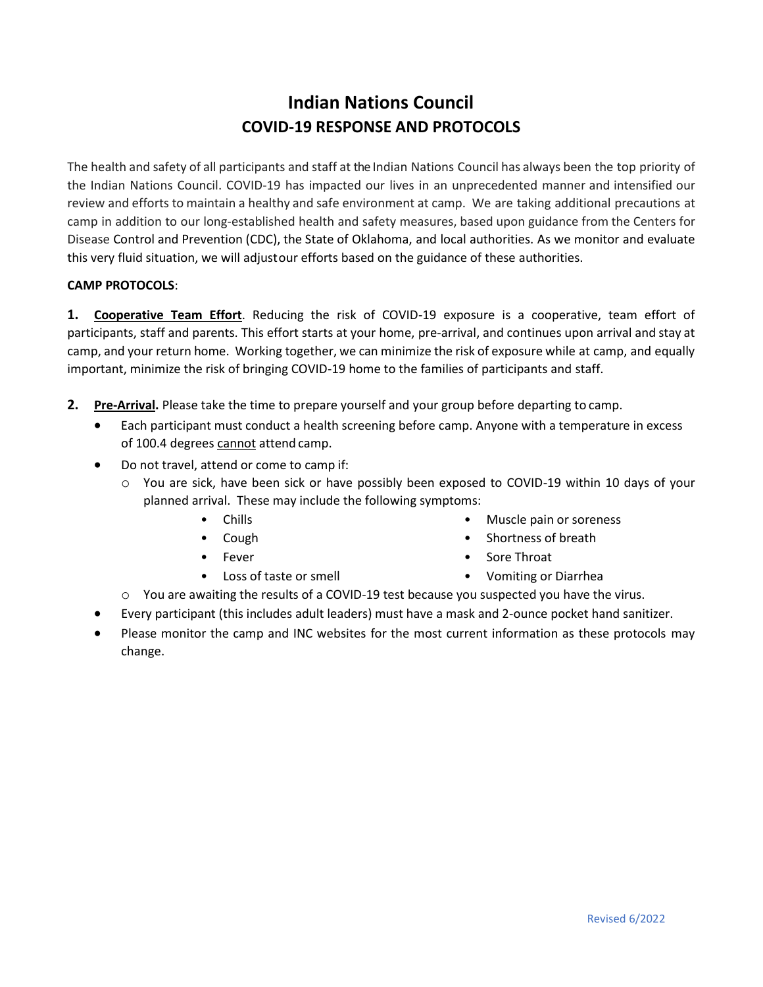## **Indian Nations Council COVID-19 RESPONSE AND PROTOCOLS**

The health and safety of all participants and staff at the Indian Nations Council has always been the top priority of the Indian Nations Council. COVID-19 has impacted our lives in an unprecedented manner and intensified our review and efforts to maintain a healthy and safe environment at camp. We are taking additional precautions at camp in addition to our long-established health and safety measures, based upon guidance from the Centers for Disease Control and Prevention (CDC), the State of Oklahoma, and local authorities. As we monitor and evaluate this very fluid situation, we will adjustour efforts based on the guidance of these authorities.

## **CAMP PROTOCOLS**:

**1. Cooperative Team Effort**. Reducing the risk of COVID-19 exposure is a cooperative, team effort of participants, staff and parents. This effort starts at your home, pre-arrival, and continues upon arrival and stay at camp, and your return home. Working together, we can minimize the risk of exposure while at camp, and equally important, minimize the risk of bringing COVID-19 home to the families of participants and staff.

- **2. Pre-Arrival.** Please take the time to prepare yourself and your group before departing to camp.
	- Each participant must conduct a health screening before camp. Anyone with a temperature in excess of 100.4 degrees cannot attend camp.
	- Do not travel, attend or come to camp if:
		- o You are sick, have been sick or have possibly been exposed to COVID-19 within 10 days of your planned arrival. These may include the following symptoms:
			- Chills
			- Cough
			- Fever
			- Loss of taste or smell
- Muscle pain or soreness
- Shortness of breath
- Sore Throat
- Vomiting or Diarrhea
- o You are awaiting the results of a COVID-19 test because you suspected you have the virus.
- Every participant (this includes adult leaders) must have a mask and 2-ounce pocket hand sanitizer.
- Please monitor the camp and INC websites for the most current information as these protocols may change.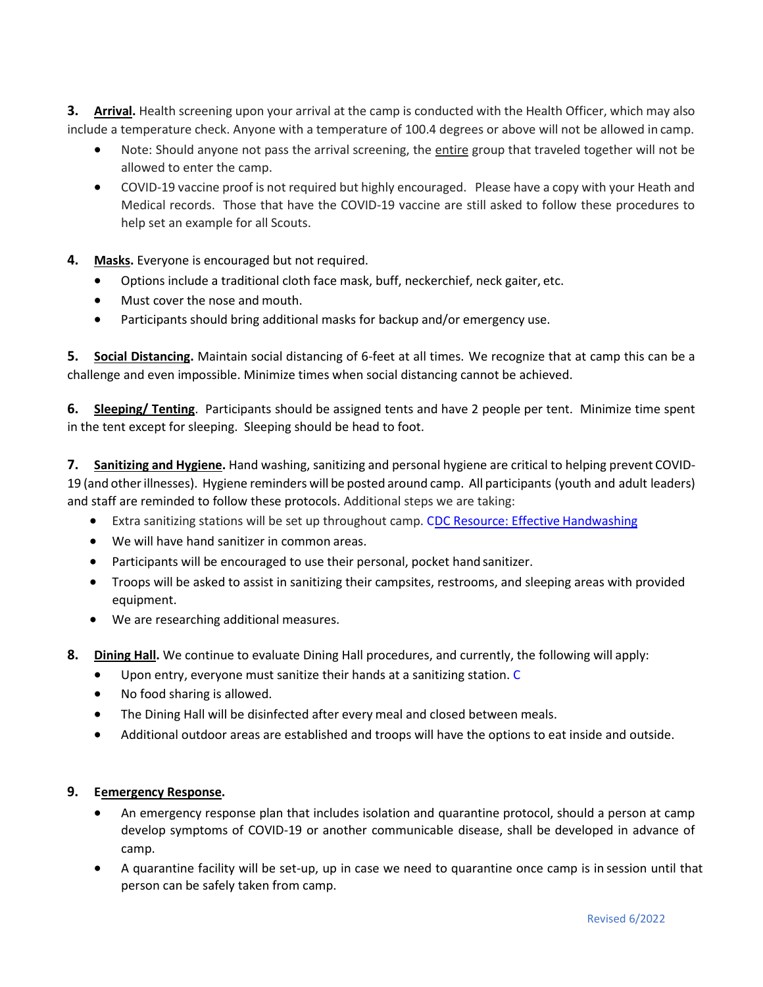**3. Arrival.** Health screening upon your arrival at the camp is conducted with the Health Officer, which may also include a temperature check. Anyone with a temperature of 100.4 degrees or above will not be allowed in camp.

- Note: Should anyone not pass the arrival screening, the entire group that traveled together will not be allowed to enter the camp.
- COVID-19 vaccine proof is not required but highly encouraged. Please have a copy with your Heath and Medical records. Those that have the COVID-19 vaccine are still asked to follow these procedures to help set an example for all Scouts.
- **4. Masks.** Everyone is encouraged but not required.
	- Options include a traditional cloth face mask, buff, neckerchief, neck gaiter, etc.
	- Must cover the nose and mouth.
	- Participants should bring additional masks for backup and/or emergency use.

**5. Social Distancing.** Maintain social distancing of 6-feet at all times. We recognize that at camp this can be a challenge and even impossible. Minimize times when social distancing cannot be achieved.

**6. Sleeping/ Tenting**. Participants should be assigned tents and have 2 people per tent. Minimize time spent in the tent except for sleeping. Sleeping should be head to foot.

**7. Sanitizing and Hygiene.** Hand washing, sanitizing and personal hygiene are critical to helping prevent COVID-19 (and otherillnesses). Hygiene reminders will be posted around camp. All participants (youth and adult leaders) and staff are reminded to follow these protocols. Additional steps we are taking:

- Extra sanitizing stations will be set up throughout camp. CDC Resource: Effective Handwashing
- We will have hand sanitizer in common areas.
- Participants will be encouraged to use their personal, pocket hand sanitizer.
- Troops will be asked to assist in sanitizing their campsites, restrooms, and sleeping areas with provided equipment.
- We are researching additional measures.
- **8. Dining Hall.** We continue to evaluate Dining Hall procedures, and currently, the following will apply:
	- Upon entry, everyone must sanitize their hands at a sanitizing station. C
	- No food sharing is allowed.
	- The Dining Hall will be disinfected after every meal and closed between meals.
	- Additional outdoor areas are established and troops will have the options to eat inside and outside.

## **9. Eemergency Response.**

- An emergency response plan that includes isolation and quarantine protocol, should a person at camp develop symptoms of COVID-19 or another communicable disease, shall be developed in advance of camp.
- A quarantine facility will be set-up, up in case we need to quarantine once camp is in session until that person can be safely taken from camp.